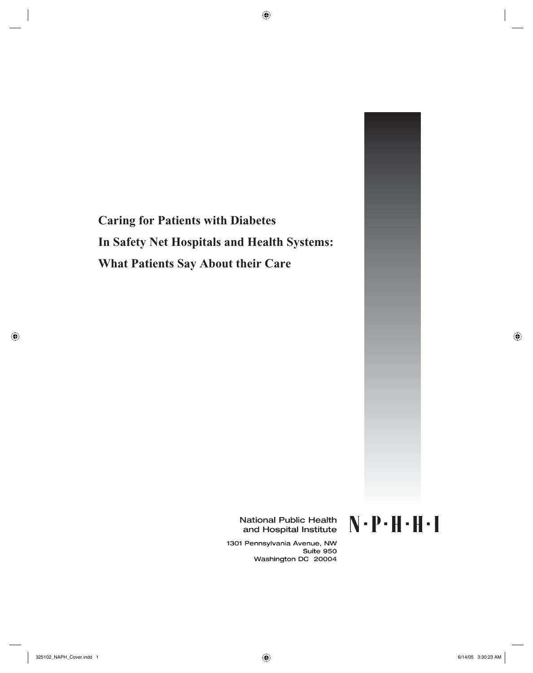

National Public Health and Hospital Institute

1301 Pennsylvania Avenue, NW Suite 950 Washington DC 20004  $N \cdot P \cdot H \cdot H \cdot I$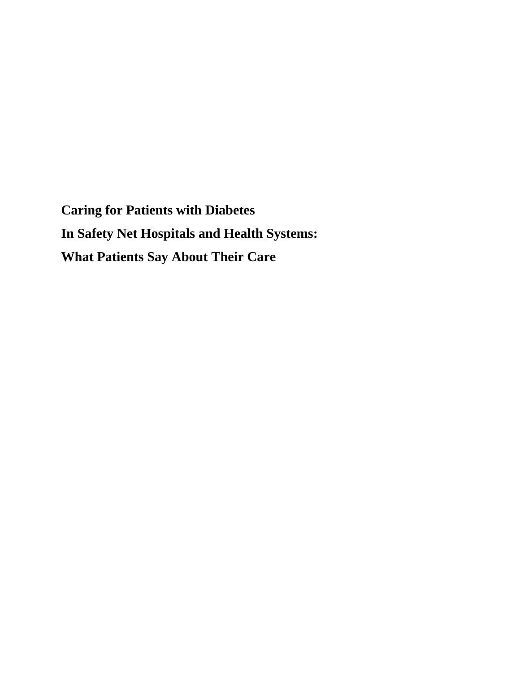**Caring for Patients with Diabetes In Safety Net Hospitals and Health Systems: What Patients Say About Their Care**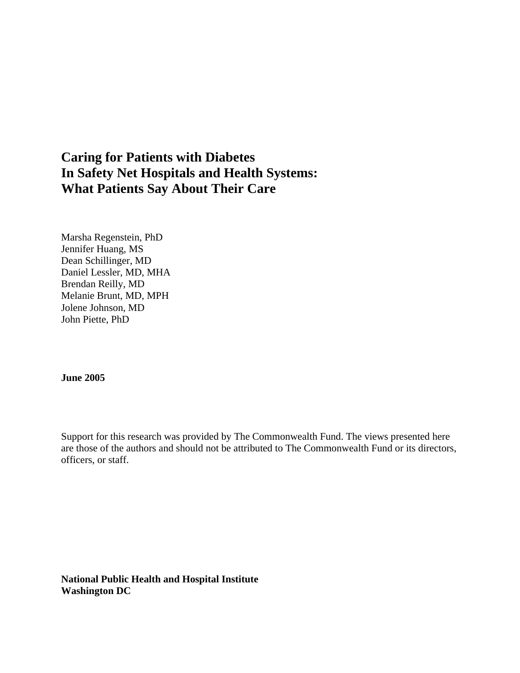# **Caring for Patients with Diabetes In Safety Net Hospitals and Health Systems: What Patients Say About Their Care**

Marsha Regenstein, PhD Jennifer Huang, MS Dean Schillinger, MD Daniel Lessler, MD, MHA Brendan Reilly, MD Melanie Brunt, MD, MPH Jolene Johnson, MD John Piette, PhD

#### **June 2005**

Support for this research was provided by The Commonwealth Fund. The views presented here are those of the authors and should not be attributed to The Commonwealth Fund or its directors, officers, or staff.

**National Public Health and Hospital Institute Washington DC**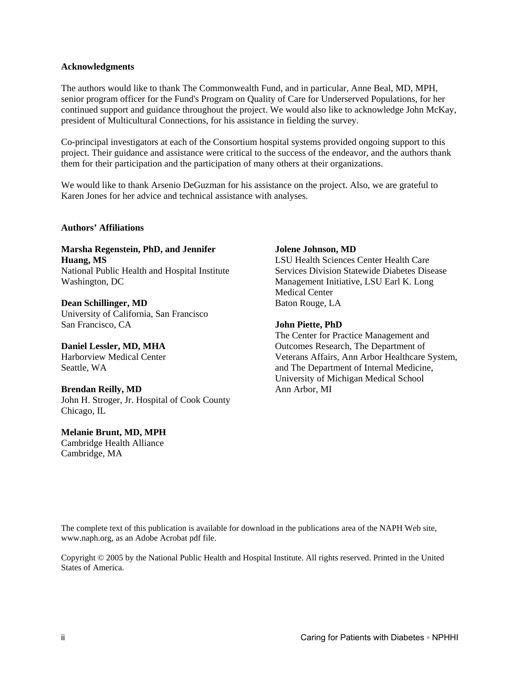#### **Acknowledgments**

The authors would like to thank The Commonwealth Fund, and in particular, Anne Beal, MD, MPH, senior program officer for the Fund's Program on Quality of Care for Underserved Populations, for her continued support and guidance throughout the project. We would also like to acknowledge John McKay, president of Multicultural Connections, for his assistance in fielding the survey.

Co-principal investigators at each of the Consortium hospital systems provided ongoing support to this project. Their guidance and assistance were critical to the success of the endeavor, and the authors thank them for their participation and the participation of many others at their organizations.

We would like to thank Arsenio DeGuzman for his assistance on the project. Also, we are grateful to Karen Jones for her advice and technical assistance with analyses.

#### **Authors' Affiliations**

**Marsha Regenstein, PhD, and Jennifer Huang, MS**  National Public Health and Hospital Institute Washington, DC

**Dean Schillinger, MD**  University of California, San Francisco San Francisco, CA

**Daniel Lessler, MD, MHA**  Harborview Medical Center Seattle, WA

**Brendan Reilly, MD**  John H. Stroger, Jr. Hospital of Cook County Chicago, IL

**Melanie Brunt, MD, MPH**  Cambridge Health Alliance Cambridge, MA

#### **Jolene Johnson, MD**

LSU Health Sciences Center Health Care Services Division Statewide Diabetes Disease Management Initiative, LSU Earl K. Long Medical Center Baton Rouge, LA

#### **John Piette, PhD**

The Center for Practice Management and Outcomes Research, The Department of Veterans Affairs, Ann Arbor Healthcare System, and The Department of Internal Medicine, University of Michigan Medical School Ann Arbor, MI

The complete text of this publication is available for download in the publications area of the NAPH Web site, www.naph.org, as an Adobe Acrobat pdf file.

Copyright © 2005 by the National Public Health and Hospital Institute. All rights reserved. Printed in the United States of America.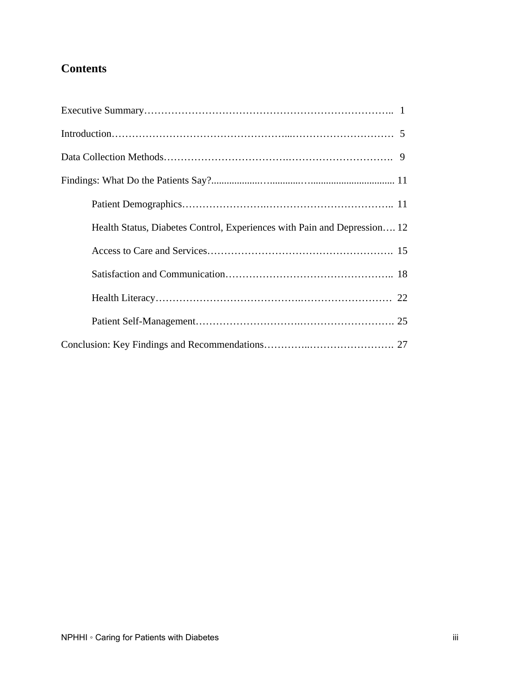# **Contents**

| Health Status, Diabetes Control, Experiences with Pain and Depression 12 |
|--------------------------------------------------------------------------|
|                                                                          |
|                                                                          |
|                                                                          |
|                                                                          |
|                                                                          |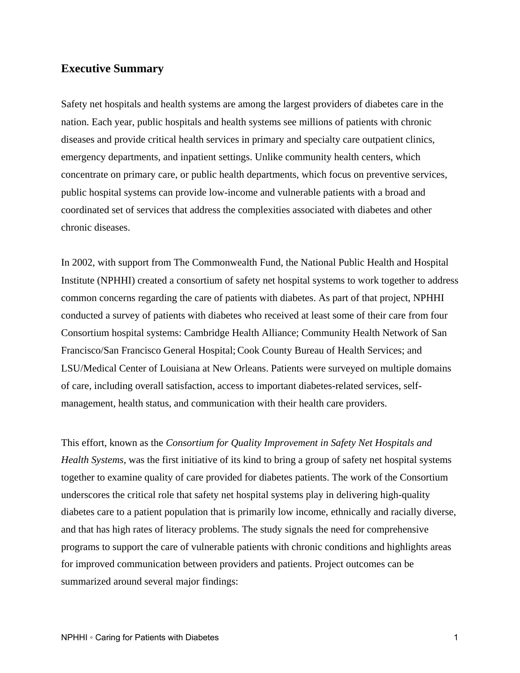#### **Executive Summary**

Safety net hospitals and health systems are among the largest providers of diabetes care in the nation. Each year, public hospitals and health systems see millions of patients with chronic diseases and provide critical health services in primary and specialty care outpatient clinics, emergency departments, and inpatient settings. Unlike community health centers, which concentrate on primary care, or public health departments, which focus on preventive services, public hospital systems can provide low-income and vulnerable patients with a broad and coordinated set of services that address the complexities associated with diabetes and other chronic diseases.

In 2002, with support from The Commonwealth Fund, the National Public Health and Hospital Institute (NPHHI) created a consortium of safety net hospital systems to work together to address common concerns regarding the care of patients with diabetes. As part of that project, NPHHI conducted a survey of patients with diabetes who received at least some of their care from four Consortium hospital systems: Cambridge Health Alliance; Community Health Network of San Francisco/San Francisco General Hospital; Cook County Bureau of Health Services; and LSU/Medical Center of Louisiana at New Orleans. Patients were surveyed on multiple domains of care, including overall satisfaction, access to important diabetes-related services, selfmanagement, health status, and communication with their health care providers.

This effort, known as the *Consortium for Quality Improvement in Safety Net Hospitals and Health Systems*, was the first initiative of its kind to bring a group of safety net hospital systems together to examine quality of care provided for diabetes patients. The work of the Consortium underscores the critical role that safety net hospital systems play in delivering high-quality diabetes care to a patient population that is primarily low income, ethnically and racially diverse, and that has high rates of literacy problems. The study signals the need for comprehensive programs to support the care of vulnerable patients with chronic conditions and highlights areas for improved communication between providers and patients. Project outcomes can be summarized around several major findings: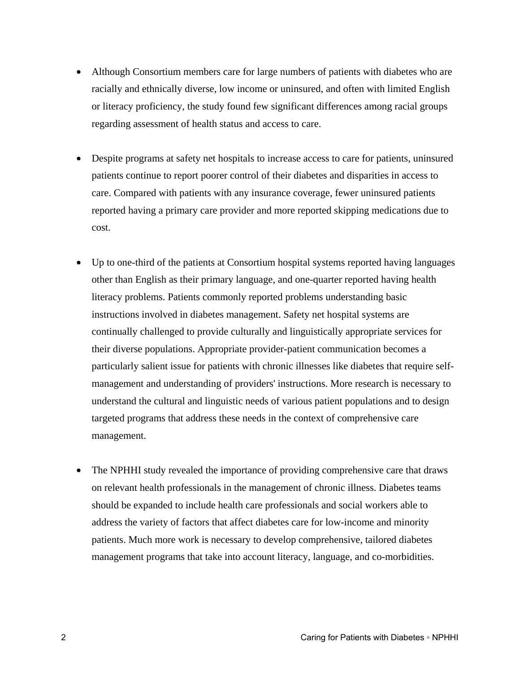- Although Consortium members care for large numbers of patients with diabetes who are racially and ethnically diverse, low income or uninsured, and often with limited English or literacy proficiency, the study found few significant differences among racial groups regarding assessment of health status and access to care.
- Despite programs at safety net hospitals to increase access to care for patients, uninsured patients continue to report poorer control of their diabetes and disparities in access to care. Compared with patients with any insurance coverage, fewer uninsured patients reported having a primary care provider and more reported skipping medications due to cost.
- Up to one-third of the patients at Consortium hospital systems reported having languages other than English as their primary language, and one-quarter reported having health literacy problems. Patients commonly reported problems understanding basic instructions involved in diabetes management. Safety net hospital systems are continually challenged to provide culturally and linguistically appropriate services for their diverse populations. Appropriate provider-patient communication becomes a particularly salient issue for patients with chronic illnesses like diabetes that require selfmanagement and understanding of providers' instructions. More research is necessary to understand the cultural and linguistic needs of various patient populations and to design targeted programs that address these needs in the context of comprehensive care management.
- The NPHHI study revealed the importance of providing comprehensive care that draws on relevant health professionals in the management of chronic illness. Diabetes teams should be expanded to include health care professionals and social workers able to address the variety of factors that affect diabetes care for low-income and minority patients. Much more work is necessary to develop comprehensive, tailored diabetes management programs that take into account literacy, language, and co-morbidities.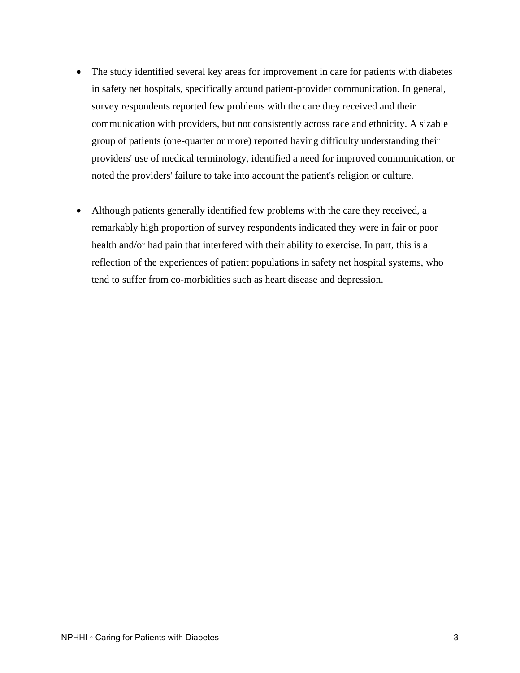- The study identified several key areas for improvement in care for patients with diabetes in safety net hospitals, specifically around patient-provider communication. In general, survey respondents reported few problems with the care they received and their communication with providers, but not consistently across race and ethnicity. A sizable group of patients (one-quarter or more) reported having difficulty understanding their providers' use of medical terminology, identified a need for improved communication, or noted the providers' failure to take into account the patient's religion or culture.
- Although patients generally identified few problems with the care they received, a remarkably high proportion of survey respondents indicated they were in fair or poor health and/or had pain that interfered with their ability to exercise. In part, this is a reflection of the experiences of patient populations in safety net hospital systems, who tend to suffer from co-morbidities such as heart disease and depression.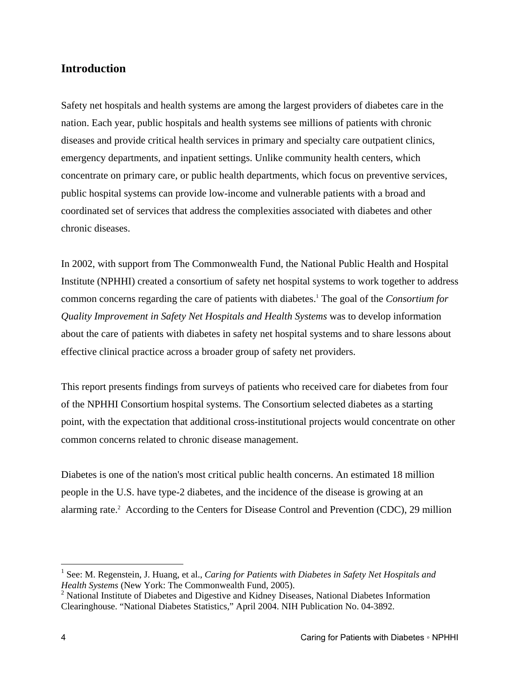## **Introduction**

Safety net hospitals and health systems are among the largest providers of diabetes care in the nation. Each year, public hospitals and health systems see millions of patients with chronic diseases and provide critical health services in primary and specialty care outpatient clinics, emergency departments, and inpatient settings. Unlike community health centers, which concentrate on primary care, or public health departments, which focus on preventive services, public hospital systems can provide low-income and vulnerable patients with a broad and coordinated set of services that address the complexities associated with diabetes and other chronic diseases.

In 2002, with support from The Commonwealth Fund, the National Public Health and Hospital Institute (NPHHI) created a consortium of safety net hospital systems to work together to address common concerns regarding the care of patients with diabetes.1 The goal of the *Consortium for Quality Improvement in Safety Net Hospitals and Health Systems* was to develop information about the care of patients with diabetes in safety net hospital systems and to share lessons about effective clinical practice across a broader group of safety net providers.

This report presents findings from surveys of patients who received care for diabetes from four of the NPHHI Consortium hospital systems. The Consortium selected diabetes as a starting point, with the expectation that additional cross-institutional projects would concentrate on other common concerns related to chronic disease management.

Diabetes is one of the nation's most critical public health concerns. An estimated 18 million people in the U.S. have type-2 diabetes, and the incidence of the disease is growing at an alarming rate.<sup>2</sup> According to the Centers for Disease Control and Prevention (CDC), 29 million

 $\overline{a}$ 

<sup>&</sup>lt;sup>1</sup> See: M. Regenstein, J. Huang, et al., *Caring for Patients with Diabetes in Safety Net Hospitals and Health Systems* (New York: The Commonwealth Fund, 2005).

<sup>&</sup>lt;sup>2</sup> National Institute of Diabetes and Digestive and Kidney Diseases, National Diabetes Information Clearinghouse. "National Diabetes Statistics," April 2004. NIH Publication No. 04-3892.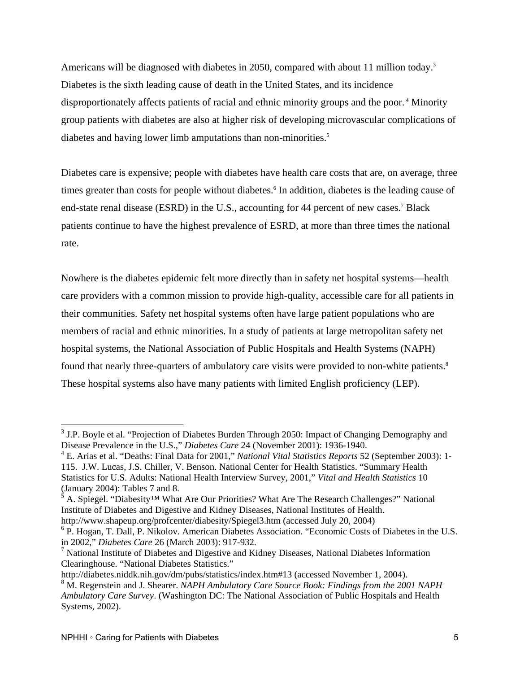Americans will be diagnosed with diabetes in 2050, compared with about 11 million today.<sup>3</sup> Diabetes is the sixth leading cause of death in the United States, and its incidence disproportionately affects patients of racial and ethnic minority groups and the poor.<sup>4</sup> Minority group patients with diabetes are also at higher risk of developing microvascular complications of diabetes and having lower limb amputations than non-minorities.<sup>5</sup>

Diabetes care is expensive; people with diabetes have health care costs that are, on average, three times greater than costs for people without diabetes.<sup>6</sup> In addition, diabetes is the leading cause of end-state renal disease (ESRD) in the U.S., accounting for 44 percent of new cases.<sup>7</sup> Black patients continue to have the highest prevalence of ESRD, at more than three times the national rate.

Nowhere is the diabetes epidemic felt more directly than in safety net hospital systems—health care providers with a common mission to provide high-quality, accessible care for all patients in their communities. Safety net hospital systems often have large patient populations who are members of racial and ethnic minorities. In a study of patients at large metropolitan safety net hospital systems, the National Association of Public Hospitals and Health Systems (NAPH) found that nearly three-quarters of ambulatory care visits were provided to non-white patients.<sup>8</sup> These hospital systems also have many patients with limited English proficiency (LEP).

1

 $3$  J.P. Boyle et al. "Projection of Diabetes Burden Through 2050: Impact of Changing Demography and Disease Prevalence in the U.S.," *Diabetes Care* 24 (November 2001): 1936-1940.

<sup>4</sup> E. Arias et al. "Deaths: Final Data for 2001," *National Vital Statistics Reports* 52 (September 2003): 1- 115. J.W. Lucas, J.S. Chiller, V. Benson. National Center for Health Statistics. "Summary Health Statistics for U.S. Adults: National Health Interview Survey, 2001," *Vital and Health Statistics* 10 (January 2004): Tables 7 and 8.<br> $5 \text{ A. Spigend.}$  "Disharity IM What"

A. Spiegel. "Diabesity™ What Are Our Priorities? What Are The Research Challenges?" National Institute of Diabetes and Digestive and Kidney Diseases, National Institutes of Health.

http://www.shapeup.org/profcenter/diabesity/Spiegel3.htm (accessed July 20, 2004)

<sup>&</sup>lt;sup>6</sup> P. Hogan, T. Dall, P. Nikolov. American Diabetes Association. "Economic Costs of Diabetes in the U.S. in 2002," *Diabetes Care* 26 (March 2003): 917-932.

<sup>&</sup>lt;sup>7</sup> National Institute of Diabetes and Digestive and Kidney Diseases, National Diabetes Information Clearinghouse. "National Diabetes Statistics."

http://diabetes.niddk.nih.gov/dm/pubs/statistics/index.htm#13 (accessed November 1, 2004).

<sup>&</sup>lt;sup>8</sup> M. Regenstein and J. Shearer. *NAPH Ambulatory Care Source Book: Findings from the 2001 NAPH Ambulatory Care Survey*. (Washington DC: The National Association of Public Hospitals and Health Systems, 2002).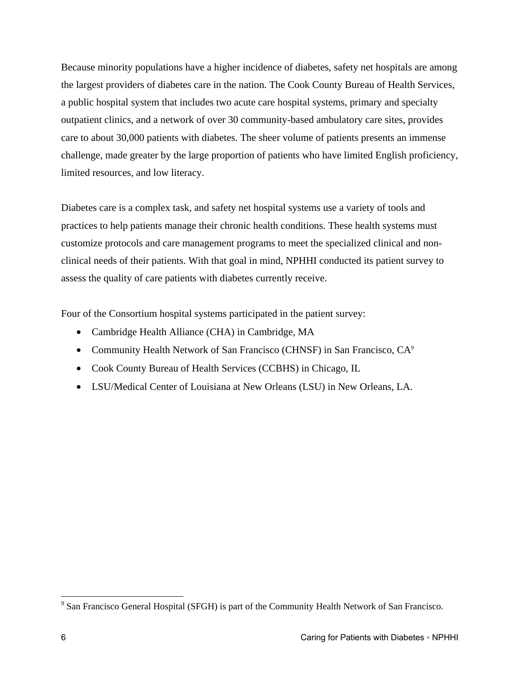Because minority populations have a higher incidence of diabetes, safety net hospitals are among the largest providers of diabetes care in the nation. The Cook County Bureau of Health Services, a public hospital system that includes two acute care hospital systems, primary and specialty outpatient clinics, and a network of over 30 community-based ambulatory care sites, provides care to about 30,000 patients with diabetes. The sheer volume of patients presents an immense challenge, made greater by the large proportion of patients who have limited English proficiency, limited resources, and low literacy.

Diabetes care is a complex task, and safety net hospital systems use a variety of tools and practices to help patients manage their chronic health conditions. These health systems must customize protocols and care management programs to meet the specialized clinical and nonclinical needs of their patients. With that goal in mind, NPHHI conducted its patient survey to assess the quality of care patients with diabetes currently receive.

Four of the Consortium hospital systems participated in the patient survey:

- Cambridge Health Alliance (CHA) in Cambridge, MA
- Community Health Network of San Francisco (CHNSF) in San Francisco, CA<sup>9</sup>
- Cook County Bureau of Health Services (CCBHS) in Chicago, IL
- LSU/Medical Center of Louisiana at New Orleans (LSU) in New Orleans, LA.

 $\overline{a}$ 

<sup>&</sup>lt;sup>9</sup> San Francisco General Hospital (SFGH) is part of the Community Health Network of San Francisco.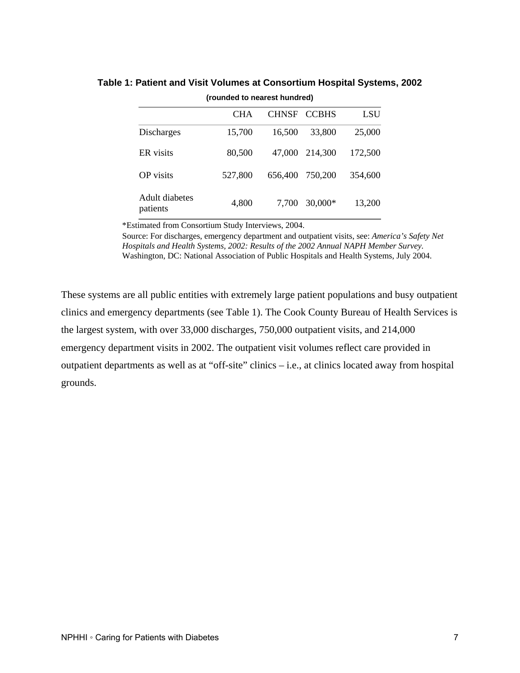|                            | <b>CHA</b> | <b>CHNSF</b> | <b>CCBHS</b> | LSU     |
|----------------------------|------------|--------------|--------------|---------|
| <b>Discharges</b>          | 15,700     | 16,500       | 33,800       | 25,000  |
| ER visits                  | 80,500     | 47,000       | 214,300      | 172,500 |
| <b>OP</b> visits           | 527,800    | 656,400      | 750,200      | 354,600 |
| Adult diabetes<br>patients | 4,800      | 7,700        | $30,000*$    | 13,200  |

#### **Table 1: Patient and Visit Volumes at Consortium Hospital Systems, 2002 (rounded to nearest hundred)**

\*Estimated from Consortium Study Interviews, 2004.

Source: For discharges, emergency department and outpatient visits, see: *America's Safety Net Hospitals and Health Systems, 2002: Results of the 2002 Annual NAPH Member Survey*. Washington, DC: National Association of Public Hospitals and Health Systems, July 2004.

These systems are all public entities with extremely large patient populations and busy outpatient clinics and emergency departments (see Table 1). The Cook County Bureau of Health Services is the largest system, with over 33,000 discharges, 750,000 outpatient visits, and 214,000 emergency department visits in 2002. The outpatient visit volumes reflect care provided in outpatient departments as well as at "off-site" clinics – i.e., at clinics located away from hospital grounds.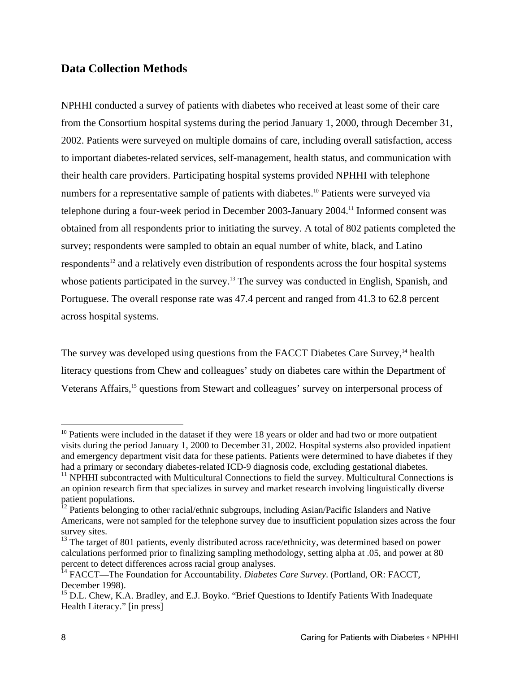## **Data Collection Methods**

NPHHI conducted a survey of patients with diabetes who received at least some of their care from the Consortium hospital systems during the period January 1, 2000, through December 31, 2002. Patients were surveyed on multiple domains of care, including overall satisfaction, access to important diabetes-related services, self-management, health status, and communication with their health care providers. Participating hospital systems provided NPHHI with telephone numbers for a representative sample of patients with diabetes.<sup>10</sup> Patients were surveyed via telephone during a four-week period in December 2003-January 2004.11 Informed consent was obtained from all respondents prior to initiating the survey. A total of 802 patients completed the survey; respondents were sampled to obtain an equal number of white, black, and Latino respondents<sup>12</sup> and a relatively even distribution of respondents across the four hospital systems whose patients participated in the survey.<sup>13</sup> The survey was conducted in English, Spanish, and Portuguese. The overall response rate was 47.4 percent and ranged from 41.3 to 62.8 percent across hospital systems.

The survey was developed using questions from the FACCT Diabetes Care Survey,<sup>14</sup> health literacy questions from Chew and colleagues' study on diabetes care within the Department of Veterans Affairs,<sup>15</sup> questions from Stewart and colleagues' survey on interpersonal process of

 $\overline{a}$ 

 $10$  Patients were included in the dataset if they were 18 years or older and had two or more outpatient visits during the period January 1, 2000 to December 31, 2002. Hospital systems also provided inpatient and emergency department visit data for these patients. Patients were determined to have diabetes if they had a primary or secondary diabetes-related ICD-9 diagnosis code, excluding gestational diabetes.

 $11$  NPHHI subcontracted with Multicultural Connections to field the survey. Multicultural Connections is an opinion research firm that specializes in survey and market research involving linguistically diverse patient populations.

 $12$  Patients belonging to other racial/ethnic subgroups, including Asian/Pacific Islanders and Native Americans, were not sampled for the telephone survey due to insufficient population sizes across the four survey sites.

 $13$  The target of 801 patients, evenly distributed across race/ethnicity, was determined based on power calculations performed prior to finalizing sampling methodology, setting alpha at .05, and power at 80 percent to detect differences across racial group analyses.

<sup>&</sup>lt;sup>14</sup> FACCT—The Foundation for Accountability. *Diabetes Care Survey*. (Portland, OR: FACCT, December 1998).

<sup>&</sup>lt;sup>15</sup> D.L. Chew, K.A. Bradley, and E.J. Boyko. "Brief Questions to Identify Patients With Inadequate Health Literacy." [in press]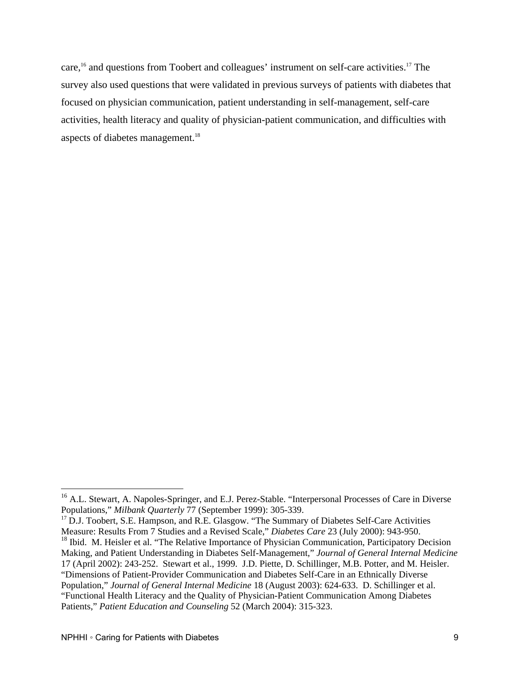care,<sup>16</sup> and questions from Toobert and colleagues' instrument on self-care activities.<sup>17</sup> The survey also used questions that were validated in previous surveys of patients with diabetes that focused on physician communication, patient understanding in self-management, self-care activities, health literacy and quality of physician-patient communication, and difficulties with aspects of diabetes management.<sup>18</sup>

 $\overline{a}$ 

<sup>&</sup>lt;sup>16</sup> A.L. Stewart, A. Napoles-Springer, and E.J. Perez-Stable. "Interpersonal Processes of Care in Diverse Populations," *Milbank Quarterly 77* (September 1999): 305-339.<br><sup>17</sup> D.J. Toobert, S.E. Hampson, and R.E. Glasgow. "The Summary of Diabetes Self-Care Activities

Measure: Results From 7 Studies and a Revised Scale," *Diabetes Care* 23 (July 2000): 943-950. <sup>18</sup> Ibid. M. Heisler et al. "The Relative Importance of Physician Communication, Participatory Decision Making, and Patient Understanding in Diabetes Self-Management," *Journal of General Internal Medicine*  17 (April 2002): 243-252. Stewart et al., 1999. J.D. Piette, D. Schillinger, M.B. Potter, and M. Heisler. "Dimensions of Patient-Provider Communication and Diabetes Self-Care in an Ethnically Diverse Population," *Journal of General Internal Medicine* 18 (August 2003): 624-633. D. Schillinger et al. "Functional Health Literacy and the Quality of Physician-Patient Communication Among Diabetes

Patients," *Patient Education and Counseling* 52 (March 2004): 315-323.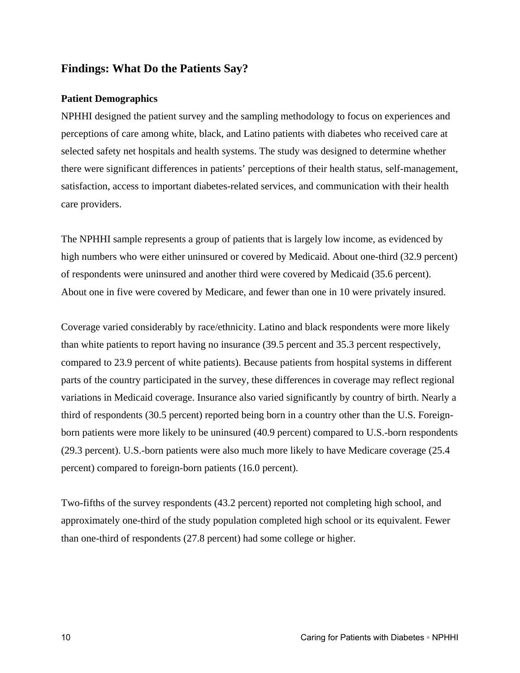### **Findings: What Do the Patients Say?**

#### **Patient Demographics**

NPHHI designed the patient survey and the sampling methodology to focus on experiences and perceptions of care among white, black, and Latino patients with diabetes who received care at selected safety net hospitals and health systems. The study was designed to determine whether there were significant differences in patients' perceptions of their health status, self-management, satisfaction, access to important diabetes-related services, and communication with their health care providers.

The NPHHI sample represents a group of patients that is largely low income, as evidenced by high numbers who were either uninsured or covered by Medicaid. About one-third (32.9 percent) of respondents were uninsured and another third were covered by Medicaid (35.6 percent). About one in five were covered by Medicare, and fewer than one in 10 were privately insured.

Coverage varied considerably by race/ethnicity. Latino and black respondents were more likely than white patients to report having no insurance (39.5 percent and 35.3 percent respectively, compared to 23.9 percent of white patients). Because patients from hospital systems in different parts of the country participated in the survey, these differences in coverage may reflect regional variations in Medicaid coverage. Insurance also varied significantly by country of birth. Nearly a third of respondents (30.5 percent) reported being born in a country other than the U.S. Foreignborn patients were more likely to be uninsured (40.9 percent) compared to U.S.-born respondents (29.3 percent). U.S.-born patients were also much more likely to have Medicare coverage (25.4 percent) compared to foreign-born patients (16.0 percent).

Two-fifths of the survey respondents (43.2 percent) reported not completing high school, and approximately one-third of the study population completed high school or its equivalent. Fewer than one-third of respondents (27.8 percent) had some college or higher.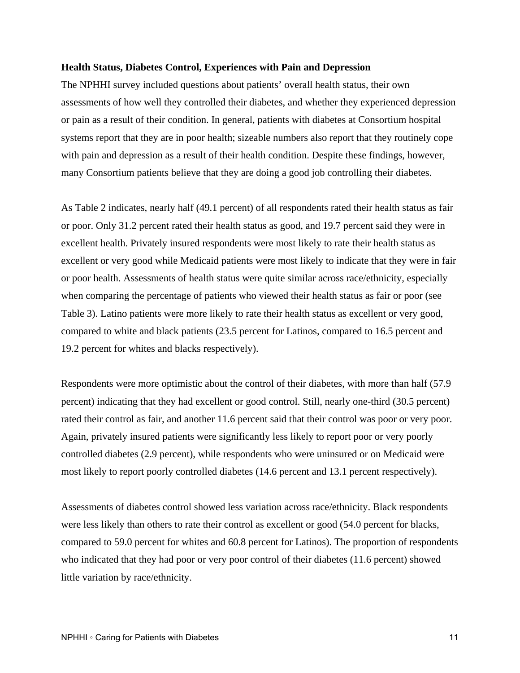#### **Health Status, Diabetes Control, Experiences with Pain and Depression**

The NPHHI survey included questions about patients' overall health status, their own assessments of how well they controlled their diabetes, and whether they experienced depression or pain as a result of their condition. In general, patients with diabetes at Consortium hospital systems report that they are in poor health; sizeable numbers also report that they routinely cope with pain and depression as a result of their health condition. Despite these findings, however, many Consortium patients believe that they are doing a good job controlling their diabetes.

As Table 2 indicates, nearly half (49.1 percent) of all respondents rated their health status as fair or poor. Only 31.2 percent rated their health status as good, and 19.7 percent said they were in excellent health. Privately insured respondents were most likely to rate their health status as excellent or very good while Medicaid patients were most likely to indicate that they were in fair or poor health. Assessments of health status were quite similar across race/ethnicity, especially when comparing the percentage of patients who viewed their health status as fair or poor (see Table 3). Latino patients were more likely to rate their health status as excellent or very good, compared to white and black patients (23.5 percent for Latinos, compared to 16.5 percent and 19.2 percent for whites and blacks respectively).

Respondents were more optimistic about the control of their diabetes, with more than half (57.9 percent) indicating that they had excellent or good control. Still, nearly one-third (30.5 percent) rated their control as fair, and another 11.6 percent said that their control was poor or very poor. Again, privately insured patients were significantly less likely to report poor or very poorly controlled diabetes (2.9 percent), while respondents who were uninsured or on Medicaid were most likely to report poorly controlled diabetes (14.6 percent and 13.1 percent respectively).

Assessments of diabetes control showed less variation across race/ethnicity. Black respondents were less likely than others to rate their control as excellent or good (54.0 percent for blacks, compared to 59.0 percent for whites and 60.8 percent for Latinos). The proportion of respondents who indicated that they had poor or very poor control of their diabetes (11.6 percent) showed little variation by race/ethnicity.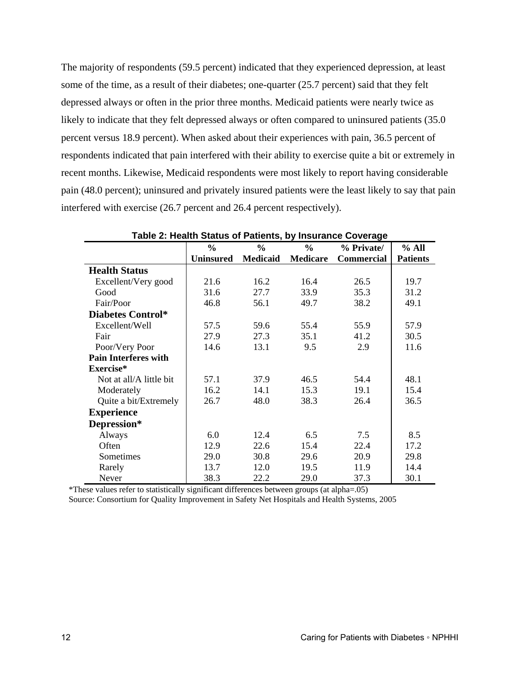The majority of respondents (59.5 percent) indicated that they experienced depression, at least some of the time, as a result of their diabetes; one-quarter (25.7 percent) said that they felt depressed always or often in the prior three months. Medicaid patients were nearly twice as likely to indicate that they felt depressed always or often compared to uninsured patients (35.0) percent versus 18.9 percent). When asked about their experiences with pain, 36.5 percent of respondents indicated that pain interfered with their ability to exercise quite a bit or extremely in recent months. Likewise, Medicaid respondents were most likely to report having considerable pain (48.0 percent); uninsured and privately insured patients were the least likely to say that pain interfered with exercise (26.7 percent and 26.4 percent respectively).

|                             | $\frac{0}{0}$    | $\frac{0}{0}$   | $\frac{0}{0}$   | % Private/        | % All           |
|-----------------------------|------------------|-----------------|-----------------|-------------------|-----------------|
|                             | <b>Uninsured</b> | <b>Medicaid</b> | <b>Medicare</b> | <b>Commercial</b> | <b>Patients</b> |
| <b>Health Status</b>        |                  |                 |                 |                   |                 |
| Excellent/Very good         | 21.6             | 16.2            | 16.4            | 26.5              | 19.7            |
| Good                        | 31.6             | 27.7            | 33.9            | 35.3              | 31.2            |
| Fair/Poor                   | 46.8             | 56.1            | 49.7            | 38.2              | 49.1            |
| <b>Diabetes Control*</b>    |                  |                 |                 |                   |                 |
| Excellent/Well              | 57.5             | 59.6            | 55.4            | 55.9              | 57.9            |
| Fair                        | 27.9             | 27.3            | 35.1            | 41.2              | 30.5            |
| Poor/Very Poor              | 14.6             | 13.1            | 9.5             | 2.9               | 11.6            |
| <b>Pain Interferes with</b> |                  |                 |                 |                   |                 |
| Exercise*                   |                  |                 |                 |                   |                 |
| Not at all/A little bit     | 57.1             | 37.9            | 46.5            | 54.4              | 48.1            |
| Moderately                  | 16.2             | 14.1            | 15.3            | 19.1              | 15.4            |
| Quite a bit/Extremely       | 26.7             | 48.0            | 38.3            | 26.4              | 36.5            |
| <b>Experience</b>           |                  |                 |                 |                   |                 |
| Depression*                 |                  |                 |                 |                   |                 |
| Always                      | 6.0              | 12.4            | 6.5             | 7.5               | 8.5             |
| Often                       | 12.9             | 22.6            | 15.4            | 22.4              | 17.2            |
| Sometimes                   | 29.0             | 30.8            | 29.6            | 20.9              | 29.8            |
| Rarely                      | 13.7             | 12.0            | 19.5            | 11.9              | 14.4            |
| Never                       | 38.3             | 22.2            | 29.0            | 37.3              | 30.1            |

| Table 2: Health Status of Patients, by Insurance Coverage |
|-----------------------------------------------------------|
|-----------------------------------------------------------|

\*These values refer to statistically significant differences between groups (at alpha=.05)

Source: Consortium for Quality Improvement in Safety Net Hospitals and Health Systems, 2005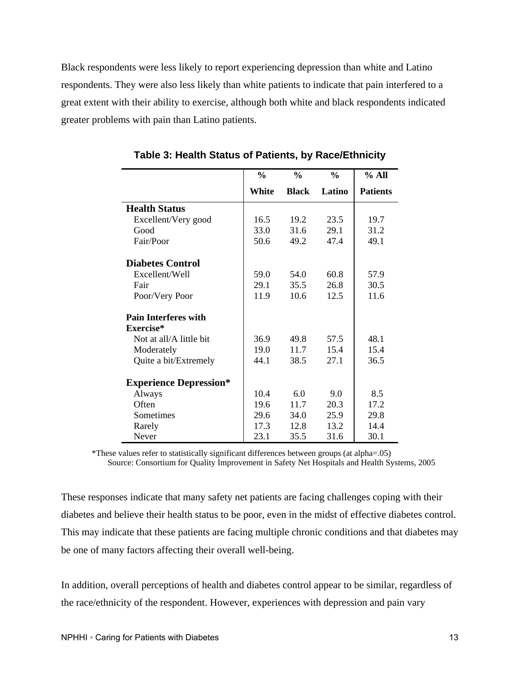Black respondents were less likely to report experiencing depression than white and Latino respondents. They were also less likely than white patients to indicate that pain interfered to a great extent with their ability to exercise, although both white and black respondents indicated greater problems with pain than Latino patients.

|                               | $\frac{0}{0}$ | $\frac{0}{0}$ | $\frac{0}{0}$ | % All           |
|-------------------------------|---------------|---------------|---------------|-----------------|
|                               | White         | <b>Black</b>  | Latino        | <b>Patients</b> |
| <b>Health Status</b>          |               |               |               |                 |
| Excellent/Very good           | 16.5          | 19.2          | 23.5          | 19.7            |
| Good                          | 33.0          | 31.6          | 29.1          | 31.2            |
| Fair/Poor                     | 50.6          | 49.2          | 47.4          | 49.1            |
| <b>Diabetes Control</b>       |               |               |               |                 |
| Excellent/Well                | 59.0          | 54.0          | 60.8          | 57.9            |
| Fair                          | 29.1          | 35.5          | 26.8          | 30.5            |
| Poor/Very Poor                | 11.9          | 10.6          | 12.5          | 11.6            |
| <b>Pain Interferes with</b>   |               |               |               |                 |
| Exercise*                     |               |               |               |                 |
| Not at all/A little bit       | 36.9          | 49.8          | 57.5          | 48.1            |
| Moderately                    | 19.0          | 11.7          | 15.4          | 15.4            |
| Quite a bit/Extremely         | 44.1          | 38.5          | 27.1          | 36.5            |
| <b>Experience Depression*</b> |               |               |               |                 |
| Always                        | 10.4          | 6.0           | 9.0           | 8.5             |
| Often                         | 19.6          | 11.7          | 20.3          | 17.2            |
| Sometimes                     | 29.6          | 34.0          | 25.9          | 29.8            |
| Rarely                        | 17.3          | 12.8          | 13.2          | 14.4            |
| Never                         | 23.1          | 35.5          | 31.6          | 30.1            |

**Table 3: Health Status of Patients, by Race/Ethnicity** 

\*These values refer to statistically significant differences between groups (at alpha=.05) Source: Consortium for Quality Improvement in Safety Net Hospitals and Health Systems, 2005

These responses indicate that many safety net patients are facing challenges coping with their diabetes and believe their health status to be poor, even in the midst of effective diabetes control. This may indicate that these patients are facing multiple chronic conditions and that diabetes may be one of many factors affecting their overall well-being.

In addition, overall perceptions of health and diabetes control appear to be similar, regardless of the race/ethnicity of the respondent. However, experiences with depression and pain vary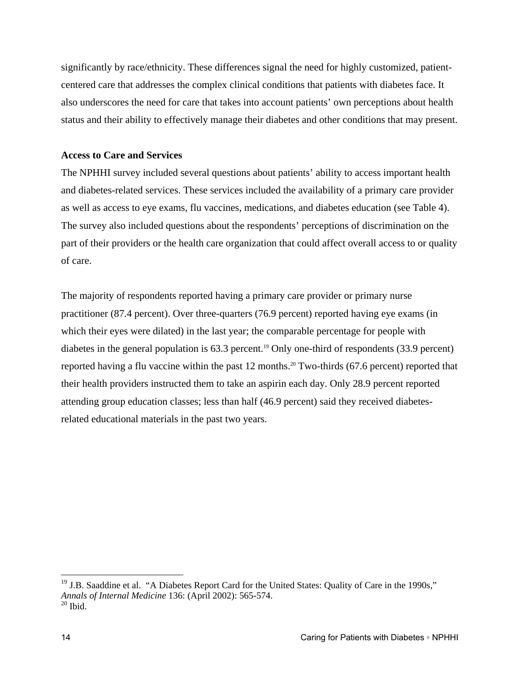significantly by race/ethnicity. These differences signal the need for highly customized, patientcentered care that addresses the complex clinical conditions that patients with diabetes face. It also underscores the need for care that takes into account patients' own perceptions about health status and their ability to effectively manage their diabetes and other conditions that may present.

#### **Access to Care and Services**

The NPHHI survey included several questions about patients' ability to access important health and diabetes-related services. These services included the availability of a primary care provider as well as access to eye exams, flu vaccines, medications, and diabetes education (see Table 4). The survey also included questions about the respondents' perceptions of discrimination on the part of their providers or the health care organization that could affect overall access to or quality of care.

The majority of respondents reported having a primary care provider or primary nurse practitioner (87.4 percent). Over three-quarters (76.9 percent) reported having eye exams (in which their eyes were dilated) in the last year; the comparable percentage for people with diabetes in the general population is  $63.3$  percent.<sup>19</sup> Only one-third of respondents  $(33.9 \text{ percent})$ reported having a flu vaccine within the past 12 months.<sup>20</sup> Two-thirds (67.6 percent) reported that their health providers instructed them to take an aspirin each day. Only 28.9 percent reported attending group education classes; less than half (46.9 percent) said they received diabetesrelated educational materials in the past two years.

 $\overline{a}$ 

<sup>&</sup>lt;sup>19</sup> J.B. Saaddine et al. "A Diabetes Report Card for the United States: Quality of Care in the 1990s," *Annals of Internal Medicine* 136: (April 2002): 565-574.  $20$  Ibid.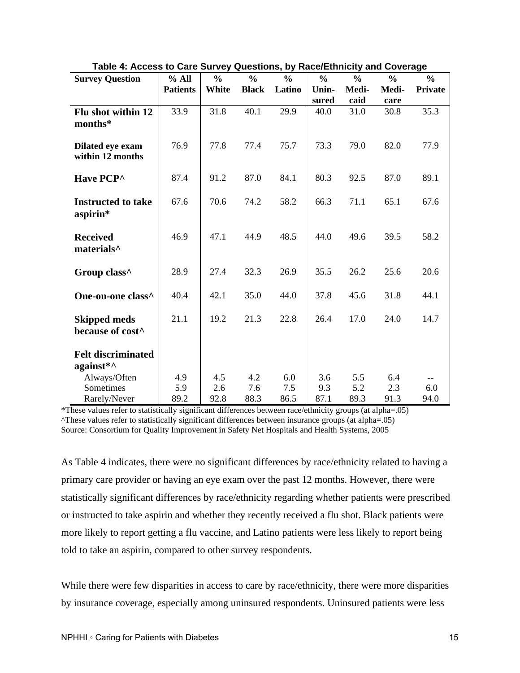| <b>Survey Question</b>    | % All           | $\frac{0}{0}$ | $\frac{0}{0}$ | $\frac{0}{0}$ | $\frac{0}{0}$ | $\frac{0}{0}$ | $\frac{0}{0}$ | $\frac{6}{6}$  |
|---------------------------|-----------------|---------------|---------------|---------------|---------------|---------------|---------------|----------------|
|                           | <b>Patients</b> | White         | <b>Black</b>  | Latino        | Unin-         | Medi-         | Medi-         | <b>Private</b> |
|                           |                 |               |               |               | sured         | caid          | care          |                |
| Flu shot within 12        | 33.9            | 31.8          | 40.1          | 29.9          | 40.0          | 31.0          | 30.8          | 35.3           |
| months*                   |                 |               |               |               |               |               |               |                |
| Dilated eye exam          | 76.9            | 77.8          | 77.4          | 75.7          | 73.3          | 79.0          | 82.0          | 77.9           |
| within 12 months          |                 |               |               |               |               |               |               |                |
| Have PCP^                 | 87.4            | 91.2          | 87.0          | 84.1          | 80.3          | 92.5          | 87.0          | 89.1           |
|                           |                 |               |               |               |               |               |               |                |
| <b>Instructed to take</b> | 67.6            | 70.6          | 74.2          | 58.2          | 66.3          | 71.1          | 65.1          | 67.6           |
| aspirin*                  |                 |               |               |               |               |               |               |                |
| <b>Received</b>           | 46.9            | 47.1          | 44.9          | 48.5          | 44.0          | 49.6          | 39.5          | 58.2           |
| materials <sup>^</sup>    |                 |               |               |               |               |               |               |                |
|                           |                 |               |               |               |               |               |               |                |
| Group class^              | 28.9            | 27.4          | 32.3          | 26.9          | 35.5          | 26.2          | 25.6          | 20.6           |
| One-on-one class^         | 40.4            | 42.1          | 35.0          | 44.0          | 37.8          | 45.6          | 31.8          | 44.1           |
|                           |                 |               |               |               |               |               |               |                |
| <b>Skipped meds</b>       | 21.1            | 19.2          | 21.3          | 22.8          | 26.4          | 17.0          | 24.0          | 14.7           |
| because of cost^          |                 |               |               |               |               |               |               |                |
| <b>Felt discriminated</b> |                 |               |               |               |               |               |               |                |
| against*^                 |                 |               |               |               |               |               |               |                |
| Always/Often              | 4.9             | 4.5           | 4.2           | 6.0           | 3.6           | 5.5           | 6.4           |                |
| Sometimes                 | 5.9             | 2.6           | 7.6           | 7.5           | 9.3           | 5.2           | 2.3           | 6.0            |
| Rarely/Never              | 89.2            | 92.8          | 88.3          | 86.5          | 87.1          | 89.3          | 91.3          | 94.0           |

**Table 4: Access to Care Survey Questions, by Race/Ethnicity and Coverage** 

\*These values refer to statistically significant differences between race/ethnicity groups (at alpha=.05) ^These values refer to statistically significant differences between insurance groups (at alpha=.05) Source: Consortium for Quality Improvement in Safety Net Hospitals and Health Systems, 2005

As Table 4 indicates, there were no significant differences by race/ethnicity related to having a primary care provider or having an eye exam over the past 12 months. However, there were statistically significant differences by race/ethnicity regarding whether patients were prescribed or instructed to take aspirin and whether they recently received a flu shot. Black patients were more likely to report getting a flu vaccine, and Latino patients were less likely to report being told to take an aspirin, compared to other survey respondents.

While there were few disparities in access to care by race/ethnicity, there were more disparities by insurance coverage, especially among uninsured respondents. Uninsured patients were less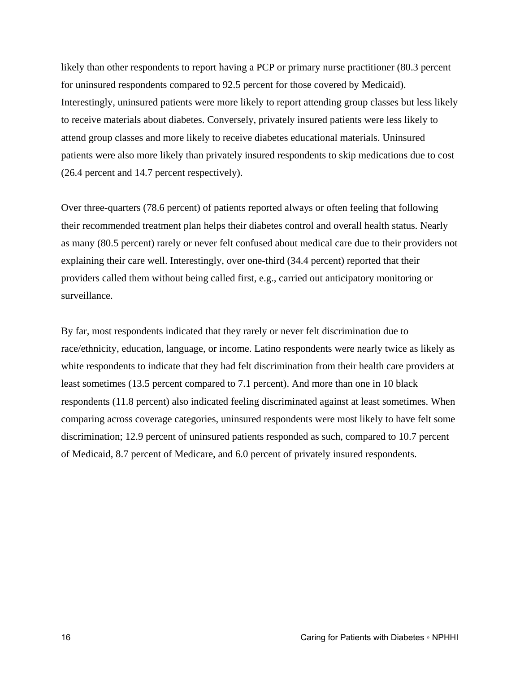likely than other respondents to report having a PCP or primary nurse practitioner (80.3 percent for uninsured respondents compared to 92.5 percent for those covered by Medicaid). Interestingly, uninsured patients were more likely to report attending group classes but less likely to receive materials about diabetes. Conversely, privately insured patients were less likely to attend group classes and more likely to receive diabetes educational materials. Uninsured patients were also more likely than privately insured respondents to skip medications due to cost (26.4 percent and 14.7 percent respectively).

Over three-quarters (78.6 percent) of patients reported always or often feeling that following their recommended treatment plan helps their diabetes control and overall health status. Nearly as many (80.5 percent) rarely or never felt confused about medical care due to their providers not explaining their care well. Interestingly, over one-third (34.4 percent) reported that their providers called them without being called first, e.g., carried out anticipatory monitoring or surveillance.

By far, most respondents indicated that they rarely or never felt discrimination due to race/ethnicity, education, language, or income. Latino respondents were nearly twice as likely as white respondents to indicate that they had felt discrimination from their health care providers at least sometimes (13.5 percent compared to 7.1 percent). And more than one in 10 black respondents (11.8 percent) also indicated feeling discriminated against at least sometimes. When comparing across coverage categories, uninsured respondents were most likely to have felt some discrimination; 12.9 percent of uninsured patients responded as such, compared to 10.7 percent of Medicaid, 8.7 percent of Medicare, and 6.0 percent of privately insured respondents.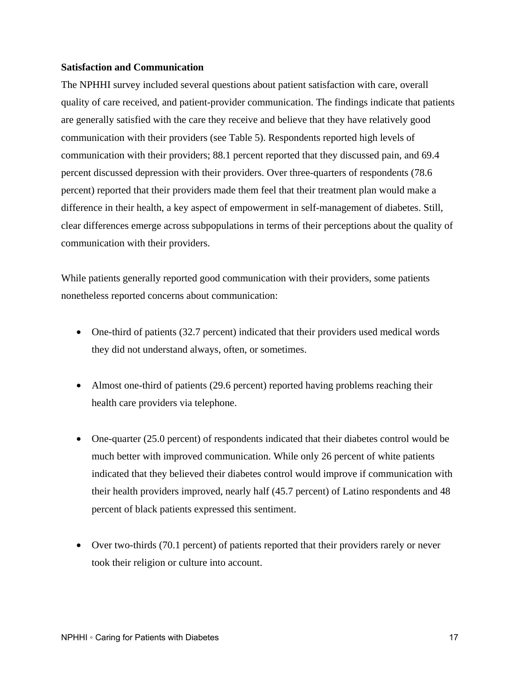#### **Satisfaction and Communication**

The NPHHI survey included several questions about patient satisfaction with care, overall quality of care received, and patient-provider communication. The findings indicate that patients are generally satisfied with the care they receive and believe that they have relatively good communication with their providers (see Table 5). Respondents reported high levels of communication with their providers; 88.1 percent reported that they discussed pain, and 69.4 percent discussed depression with their providers. Over three-quarters of respondents (78.6 percent) reported that their providers made them feel that their treatment plan would make a difference in their health, a key aspect of empowerment in self-management of diabetes. Still, clear differences emerge across subpopulations in terms of their perceptions about the quality of communication with their providers.

While patients generally reported good communication with their providers, some patients nonetheless reported concerns about communication:

- One-third of patients (32.7 percent) indicated that their providers used medical words they did not understand always, often, or sometimes.
- Almost one-third of patients (29.6 percent) reported having problems reaching their health care providers via telephone.
- One-quarter (25.0 percent) of respondents indicated that their diabetes control would be much better with improved communication. While only 26 percent of white patients indicated that they believed their diabetes control would improve if communication with their health providers improved, nearly half (45.7 percent) of Latino respondents and 48 percent of black patients expressed this sentiment.
- Over two-thirds (70.1 percent) of patients reported that their providers rarely or never took their religion or culture into account.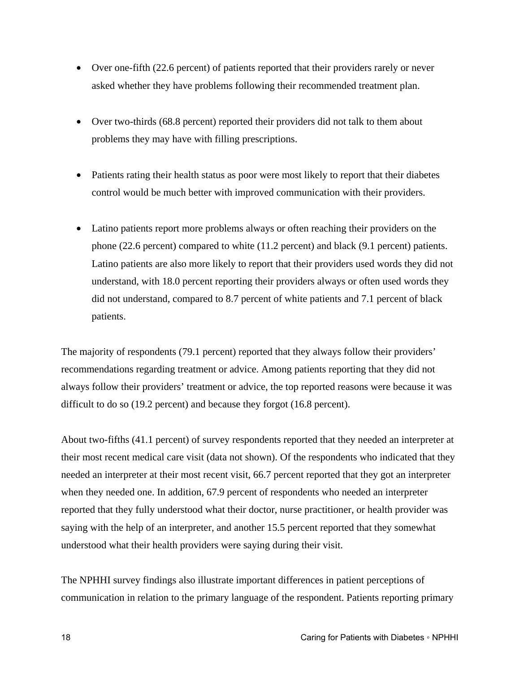- Over one-fifth (22.6 percent) of patients reported that their providers rarely or never asked whether they have problems following their recommended treatment plan.
- Over two-thirds (68.8 percent) reported their providers did not talk to them about problems they may have with filling prescriptions.
- Patients rating their health status as poor were most likely to report that their diabetes control would be much better with improved communication with their providers.
- Latino patients report more problems always or often reaching their providers on the phone (22.6 percent) compared to white (11.2 percent) and black (9.1 percent) patients. Latino patients are also more likely to report that their providers used words they did not understand, with 18.0 percent reporting their providers always or often used words they did not understand, compared to 8.7 percent of white patients and 7.1 percent of black patients.

The majority of respondents (79.1 percent) reported that they always follow their providers' recommendations regarding treatment or advice. Among patients reporting that they did not always follow their providers' treatment or advice, the top reported reasons were because it was difficult to do so (19.2 percent) and because they forgot (16.8 percent).

About two-fifths (41.1 percent) of survey respondents reported that they needed an interpreter at their most recent medical care visit (data not shown). Of the respondents who indicated that they needed an interpreter at their most recent visit, 66.7 percent reported that they got an interpreter when they needed one. In addition, 67.9 percent of respondents who needed an interpreter reported that they fully understood what their doctor, nurse practitioner, or health provider was saying with the help of an interpreter, and another 15.5 percent reported that they somewhat understood what their health providers were saying during their visit.

The NPHHI survey findings also illustrate important differences in patient perceptions of communication in relation to the primary language of the respondent. Patients reporting primary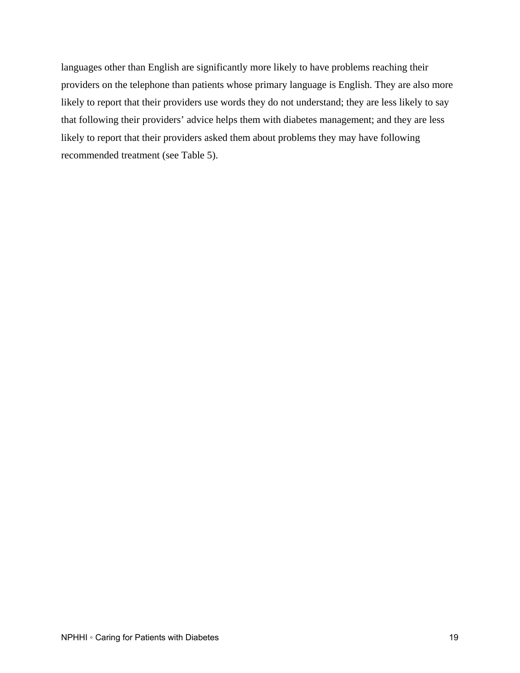languages other than English are significantly more likely to have problems reaching their providers on the telephone than patients whose primary language is English. They are also more likely to report that their providers use words they do not understand; they are less likely to say that following their providers' advice helps them with diabetes management; and they are less likely to report that their providers asked them about problems they may have following recommended treatment (see Table 5).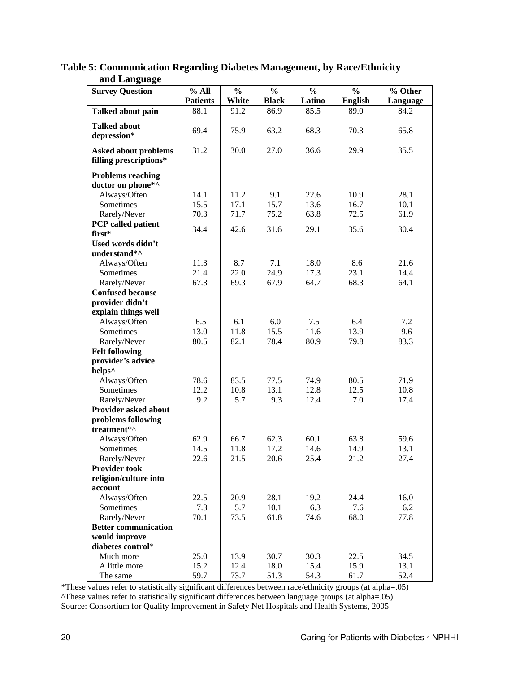| ana Danguage<br><b>Survey Question</b>                | % All           | $\frac{0}{0}$ | $\frac{0}{0}$ | $\frac{0}{0}$ | $\frac{0}{0}$  | % Other  |
|-------------------------------------------------------|-----------------|---------------|---------------|---------------|----------------|----------|
|                                                       | <b>Patients</b> | White         | <b>Black</b>  | Latino        | <b>English</b> | Language |
| Talked about pain                                     | 88.1            | 91.2          | 86.9          | 85.5          | 89.0           | 84.2     |
|                                                       |                 |               |               |               |                |          |
| <b>Talked about</b><br>depression*                    | 69.4            | 75.9          | 63.2          | 68.3          | 70.3           | 65.8     |
| <b>Asked about problems</b><br>filling prescriptions* | 31.2            | 30.0          | 27.0          | 36.6          | 29.9           | 35.5     |
| <b>Problems reaching</b><br>doctor on phone*^         |                 |               |               |               |                |          |
| Always/Often                                          | 14.1            | 11.2          | 9.1           | 22.6          | 10.9           | 28.1     |
| Sometimes                                             | 15.5            | 17.1          | 15.7          | 13.6          | 16.7           | 10.1     |
| Rarely/Never                                          | 70.3            | 71.7          | 75.2          | 63.8          | 72.5           | 61.9     |
| PCP called patient                                    | 34.4            | 42.6          | 31.6          | 29.1          | 35.6           | 30.4     |
| first*                                                |                 |               |               |               |                |          |
| Used words didn't                                     |                 |               |               |               |                |          |
| understand*^                                          |                 |               |               |               |                |          |
| Always/Often                                          | 11.3            | 8.7           | 7.1           | 18.0          | 8.6            | 21.6     |
| Sometimes                                             | 21.4            | 22.0          | 24.9          | 17.3          | 23.1           | 14.4     |
| Rarely/Never                                          | 67.3            | 69.3          | 67.9          | 64.7          | 68.3           | 64.1     |
| <b>Confused because</b>                               |                 |               |               |               |                |          |
| provider didn't                                       |                 |               |               |               |                |          |
| explain things well                                   |                 |               |               |               |                |          |
| Always/Often                                          | 6.5             | 6.1<br>11.8   | 6.0           | 7.5           | 6.4            | 7.2      |
| Sometimes                                             | 13.0            |               | 15.5          | 11.6          | 13.9           | 9.6      |
| Rarely/Never                                          | 80.5            | 82.1          | 78.4          | 80.9          | 79.8           | 83.3     |
| <b>Felt following</b><br>provider's advice            |                 |               |               |               |                |          |
| helps <sup>^</sup>                                    |                 |               |               |               |                |          |
| Always/Often                                          | 78.6            | 83.5          | 77.5          | 74.9          | 80.5           | 71.9     |
| Sometimes                                             | 12.2            | 10.8          | 13.1          | 12.8          | 12.5           | 10.8     |
| Rarely/Never                                          | 9.2             | 5.7           | 9.3           | 12.4          | 7.0            | 17.4     |
| Provider asked about                                  |                 |               |               |               |                |          |
| problems following<br>treatment*^                     |                 |               |               |               |                |          |
| Always/Often                                          | 62.9            | 66.7          | 62.3          | 60.1          | 63.8           | 59.6     |
| Sometimes                                             | 14.5            | 11.8          | 17.2          | 14.6          | 14.9           | 13.1     |
| Rarely/Never                                          | 22.6            | 21.5          | 20.6          | 25.4          | 21.2           | 27.4     |
| <b>Provider took</b>                                  |                 |               |               |               |                |          |
| religion/culture into                                 |                 |               |               |               |                |          |
| account                                               |                 |               |               |               |                |          |
| Always/Often                                          | 22.5            | 20.9          | 28.1          | 19.2          | 24.4           | 16.0     |
| Sometimes                                             | 7.3             | 5.7           | 10.1          | 6.3           | 7.6            | 6.2      |
| Rarely/Never                                          | 70.1            | 73.5          | 61.8          | 74.6          | 68.0           | 77.8     |
| <b>Better communication</b>                           |                 |               |               |               |                |          |
| would improve<br>diabetes control*                    |                 |               |               |               |                |          |
| Much more                                             | 25.0            | 13.9          | 30.7          | 30.3          | 22.5           | 34.5     |
| A little more                                         | 15.2            | 12.4          | 18.0          | 15.4          | 15.9           | 13.1     |
| The same                                              | 59.7            | 73.7          | 51.3          | 54.3          | 61.7           | 52.4     |

**Table 5: Communication Regarding Diabetes Management, by Race/Ethnicity and Language** 

\*These values refer to statistically significant differences between race/ethnicity groups (at alpha=.05) ^These values refer to statistically significant differences between language groups (at alpha=.05) Source: Consortium for Quality Improvement in Safety Net Hospitals and Health Systems, 2005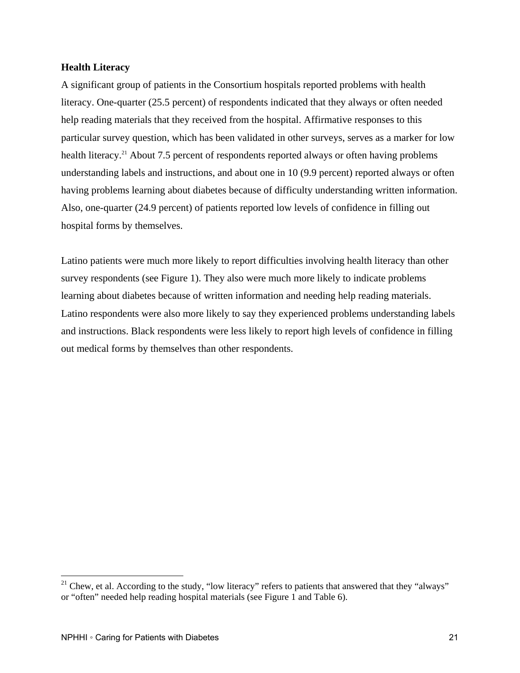#### **Health Literacy**

A significant group of patients in the Consortium hospitals reported problems with health literacy. One-quarter (25.5 percent) of respondents indicated that they always or often needed help reading materials that they received from the hospital. Affirmative responses to this particular survey question, which has been validated in other surveys, serves as a marker for low health literacy.<sup>21</sup> About 7.5 percent of respondents reported always or often having problems understanding labels and instructions, and about one in 10 (9.9 percent) reported always or often having problems learning about diabetes because of difficulty understanding written information. Also, one-quarter (24.9 percent) of patients reported low levels of confidence in filling out hospital forms by themselves.

Latino patients were much more likely to report difficulties involving health literacy than other survey respondents (see Figure 1). They also were much more likely to indicate problems learning about diabetes because of written information and needing help reading materials. Latino respondents were also more likely to say they experienced problems understanding labels and instructions. Black respondents were less likely to report high levels of confidence in filling out medical forms by themselves than other respondents.

 $\overline{a}$ 

 $21$  Chew, et al. According to the study, "low literacy" refers to patients that answered that they "always" or "often" needed help reading hospital materials (see Figure 1 and Table 6).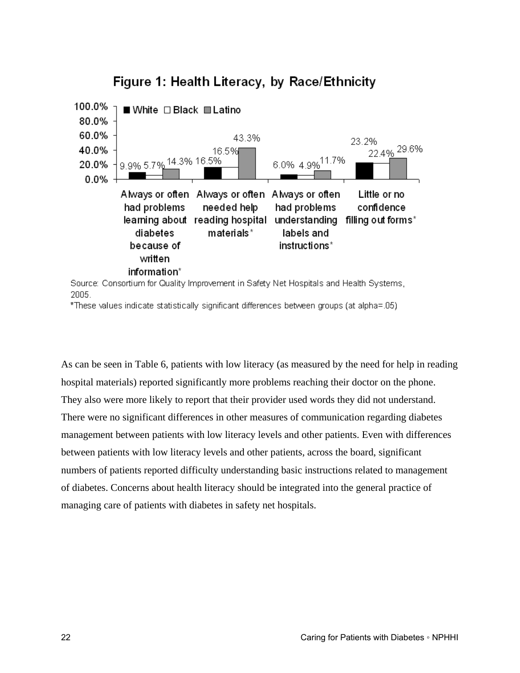

# Figure 1: Health Literacy, by Race/Ethnicity

Source: Consortium for Quality Improvement in Safety Net Hospitals and Health Systems, 2005.

\*These values indicate statistically significant differences between groups (at alpha=.05)

As can be seen in Table 6, patients with low literacy (as measured by the need for help in reading hospital materials) reported significantly more problems reaching their doctor on the phone. They also were more likely to report that their provider used words they did not understand. There were no significant differences in other measures of communication regarding diabetes management between patients with low literacy levels and other patients. Even with differences between patients with low literacy levels and other patients, across the board, significant numbers of patients reported difficulty understanding basic instructions related to management of diabetes. Concerns about health literacy should be integrated into the general practice of managing care of patients with diabetes in safety net hospitals.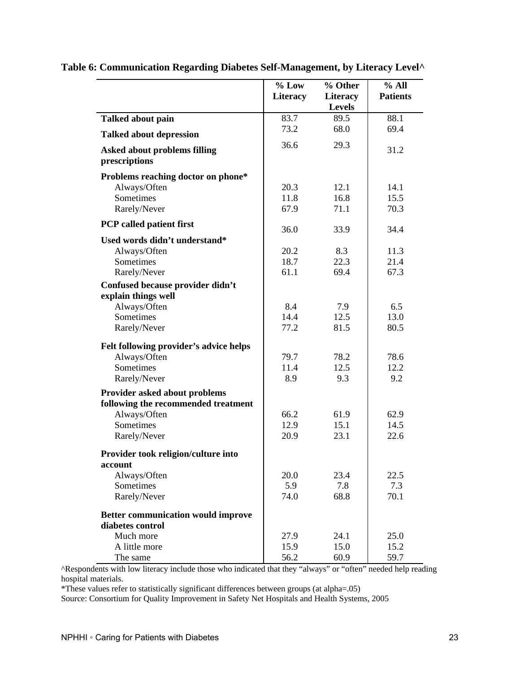|                                                      | $%$ Low<br><b>Literacy</b> | % Other<br>Literacy<br><b>Levels</b> | % All<br><b>Patients</b> |
|------------------------------------------------------|----------------------------|--------------------------------------|--------------------------|
| <b>Talked about pain</b>                             | 83.7                       | 89.5                                 | 88.1                     |
| <b>Talked about depression</b>                       | 73.2                       | 68.0                                 | 69.4                     |
| <b>Asked about problems filling</b><br>prescriptions | 36.6                       | 29.3                                 | 31.2                     |
| Problems reaching doctor on phone*                   |                            |                                      |                          |
| Always/Often                                         | 20.3                       | 12.1                                 | 14.1                     |
| Sometimes                                            | 11.8                       | 16.8                                 | 15.5                     |
| Rarely/Never                                         | 67.9                       | 71.1                                 | 70.3                     |
| <b>PCP</b> called patient first                      | 36.0                       | 33.9                                 | 34.4                     |
| Used words didn't understand*                        |                            |                                      |                          |
| Always/Often                                         | 20.2                       | 8.3                                  | 11.3                     |
| Sometimes                                            | 18.7                       | 22.3                                 | 21.4                     |
| Rarely/Never                                         | 61.1                       | 69.4                                 | 67.3                     |
| Confused because provider didn't                     |                            |                                      |                          |
| explain things well                                  |                            |                                      |                          |
| Always/Often                                         | 8.4                        | 7.9                                  | 6.5                      |
| Sometimes                                            | 14.4                       | 12.5                                 | 13.0                     |
| Rarely/Never                                         | 77.2                       | 81.5                                 | 80.5                     |
| Felt following provider's advice helps               |                            |                                      |                          |
| Always/Often                                         | 79.7                       | 78.2                                 | 78.6                     |
| Sometimes                                            | 11.4                       | 12.5                                 | 12.2                     |
| Rarely/Never                                         | 8.9                        | 9.3                                  | 9.2                      |
| Provider asked about problems                        |                            |                                      |                          |
| following the recommended treatment                  |                            |                                      |                          |
| Always/Often                                         | 66.2                       | 61.9                                 | 62.9                     |
| Sometimes                                            | 12.9                       | 15.1                                 | 14.5                     |
| Rarely/Never                                         | 20.9                       | 23.1                                 | 22.6                     |
| Provider took religion/culture into<br>account       |                            |                                      |                          |
| Always/Often                                         | 20.0                       | 23.4                                 | 22.5                     |
| Sometimes                                            | 5.9                        | 7.8                                  | 7.3                      |
| Rarely/Never                                         | 74.0                       | 68.8                                 | 70.1                     |
| <b>Better communication would improve</b>            |                            |                                      |                          |
| diabetes control                                     |                            |                                      |                          |
| Much more                                            | 27.9                       | 24.1                                 | 25.0                     |
| A little more                                        | 15.9                       | 15.0                                 | 15.2                     |
| The same                                             | 56.2                       | 60.9                                 | 59.7                     |

# **Table 6: Communication Regarding Diabetes Self-Management, by Literacy Level^**

^Respondents with low literacy include those who indicated that they "always" or "often" needed help reading hospital materials.

\*These values refer to statistically significant differences between groups (at alpha=.05)

Source: Consortium for Quality Improvement in Safety Net Hospitals and Health Systems, 2005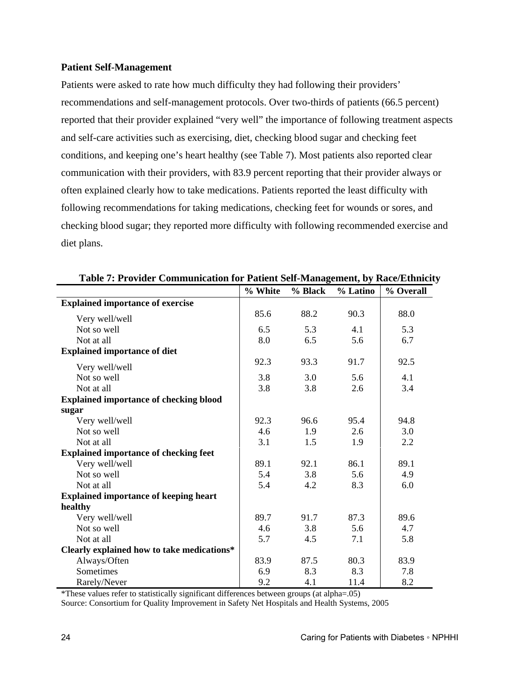#### **Patient Self-Management**

Patients were asked to rate how much difficulty they had following their providers' recommendations and self-management protocols. Over two-thirds of patients (66.5 percent) reported that their provider explained "very well" the importance of following treatment aspects and self-care activities such as exercising, diet, checking blood sugar and checking feet conditions, and keeping one's heart healthy (see Table 7). Most patients also reported clear communication with their providers, with 83.9 percent reporting that their provider always or often explained clearly how to take medications. Patients reported the least difficulty with following recommendations for taking medications, checking feet for wounds or sores, and checking blood sugar; they reported more difficulty with following recommended exercise and diet plans.

|                                               | % White | % Black | % Latino | % Overall |
|-----------------------------------------------|---------|---------|----------|-----------|
| <b>Explained importance of exercise</b>       |         |         |          |           |
| Very well/well                                | 85.6    | 88.2    | 90.3     | 88.0      |
| Not so well                                   | 6.5     | 5.3     | 4.1      | 5.3       |
| Not at all                                    | 8.0     | 6.5     | 5.6      | 6.7       |
| <b>Explained importance of diet</b>           |         |         |          |           |
| Very well/well                                | 92.3    | 93.3    | 91.7     | 92.5      |
| Not so well                                   | 3.8     | 3.0     | 5.6      | 4.1       |
| Not at all                                    | 3.8     | 3.8     | 2.6      | 3.4       |
| <b>Explained importance of checking blood</b> |         |         |          |           |
| sugar                                         |         |         |          |           |
| Very well/well                                | 92.3    | 96.6    | 95.4     | 94.8      |
| Not so well                                   | 4.6     | 1.9     | 2.6      | 3.0       |
| Not at all                                    | 3.1     | 1.5     | 1.9      | 2.2       |
| <b>Explained importance of checking feet</b>  |         |         |          |           |
| Very well/well                                | 89.1    | 92.1    | 86.1     | 89.1      |
| Not so well                                   | 5.4     | 3.8     | 5.6      | 4.9       |
| Not at all                                    | 5.4     | 4.2     | 8.3      | 6.0       |
| <b>Explained importance of keeping heart</b>  |         |         |          |           |
| healthy                                       |         |         |          |           |
| Very well/well                                | 89.7    | 91.7    | 87.3     | 89.6      |
| Not so well                                   | 4.6     | 3.8     | 5.6      | 4.7       |
| Not at all                                    | 5.7     | 4.5     | 7.1      | 5.8       |
| Clearly explained how to take medications*    |         |         |          |           |
| Always/Often                                  | 83.9    | 87.5    | 80.3     | 83.9      |
| Sometimes                                     | 6.9     | 8.3     | 8.3      | 7.8       |
| Rarely/Never                                  | 9.2     | 4.1     | 11.4     | 8.2       |

**Table 7: Provider Communication for Patient Self-Management, by Race/Ethnicity** 

\*These values refer to statistically significant differences between groups (at alpha=.05)

Source: Consortium for Quality Improvement in Safety Net Hospitals and Health Systems, 2005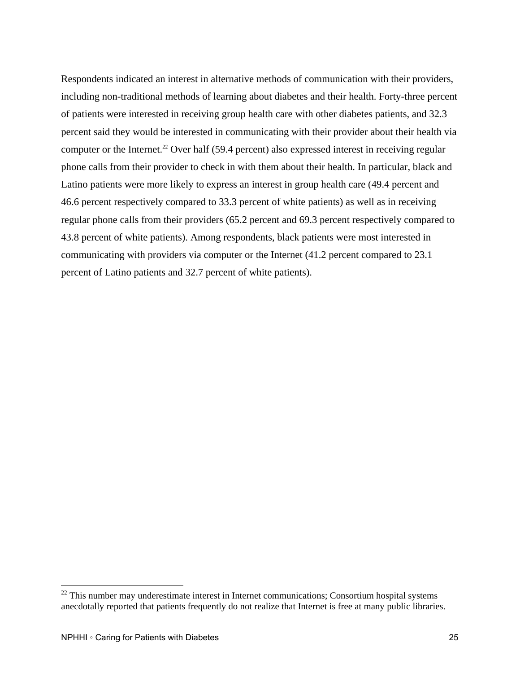Respondents indicated an interest in alternative methods of communication with their providers, including non-traditional methods of learning about diabetes and their health. Forty-three percent of patients were interested in receiving group health care with other diabetes patients, and 32.3 percent said they would be interested in communicating with their provider about their health via computer or the Internet.<sup>22</sup> Over half (59.4 percent) also expressed interest in receiving regular phone calls from their provider to check in with them about their health. In particular, black and Latino patients were more likely to express an interest in group health care (49.4 percent and 46.6 percent respectively compared to 33.3 percent of white patients) as well as in receiving regular phone calls from their providers (65.2 percent and 69.3 percent respectively compared to 43.8 percent of white patients). Among respondents, black patients were most interested in communicating with providers via computer or the Internet (41.2 percent compared to 23.1 percent of Latino patients and 32.7 percent of white patients).

1

 $22$  This number may underestimate interest in Internet communications; Consortium hospital systems anecdotally reported that patients frequently do not realize that Internet is free at many public libraries.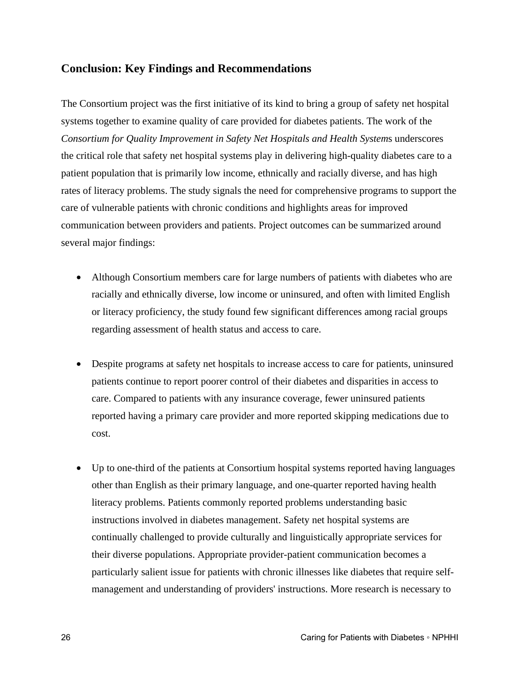# **Conclusion: Key Findings and Recommendations**

The Consortium project was the first initiative of its kind to bring a group of safety net hospital systems together to examine quality of care provided for diabetes patients. The work of the *Consortium for Quality Improvement in Safety Net Hospitals and Health System*s underscores the critical role that safety net hospital systems play in delivering high-quality diabetes care to a patient population that is primarily low income, ethnically and racially diverse, and has high rates of literacy problems. The study signals the need for comprehensive programs to support the care of vulnerable patients with chronic conditions and highlights areas for improved communication between providers and patients. Project outcomes can be summarized around several major findings:

- Although Consortium members care for large numbers of patients with diabetes who are racially and ethnically diverse, low income or uninsured, and often with limited English or literacy proficiency, the study found few significant differences among racial groups regarding assessment of health status and access to care.
- Despite programs at safety net hospitals to increase access to care for patients, uninsured patients continue to report poorer control of their diabetes and disparities in access to care. Compared to patients with any insurance coverage, fewer uninsured patients reported having a primary care provider and more reported skipping medications due to cost.
- Up to one-third of the patients at Consortium hospital systems reported having languages other than English as their primary language, and one-quarter reported having health literacy problems. Patients commonly reported problems understanding basic instructions involved in diabetes management. Safety net hospital systems are continually challenged to provide culturally and linguistically appropriate services for their diverse populations. Appropriate provider-patient communication becomes a particularly salient issue for patients with chronic illnesses like diabetes that require selfmanagement and understanding of providers' instructions. More research is necessary to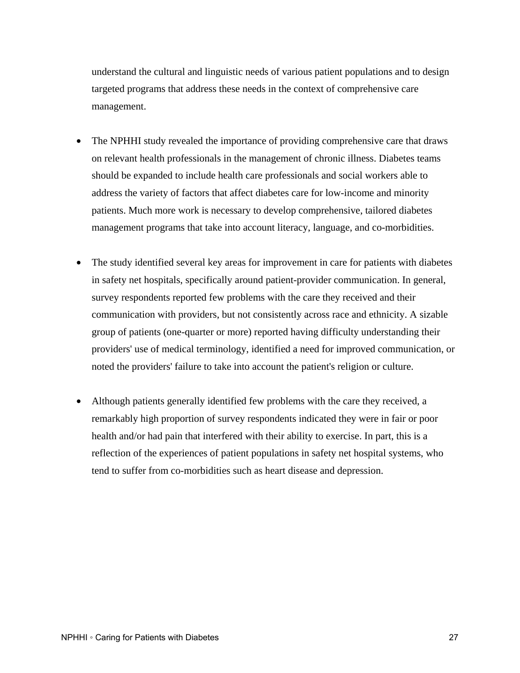understand the cultural and linguistic needs of various patient populations and to design targeted programs that address these needs in the context of comprehensive care management.

- The NPHHI study revealed the importance of providing comprehensive care that draws on relevant health professionals in the management of chronic illness. Diabetes teams should be expanded to include health care professionals and social workers able to address the variety of factors that affect diabetes care for low-income and minority patients. Much more work is necessary to develop comprehensive, tailored diabetes management programs that take into account literacy, language, and co-morbidities.
- The study identified several key areas for improvement in care for patients with diabetes in safety net hospitals, specifically around patient-provider communication. In general, survey respondents reported few problems with the care they received and their communication with providers, but not consistently across race and ethnicity. A sizable group of patients (one-quarter or more) reported having difficulty understanding their providers' use of medical terminology, identified a need for improved communication, or noted the providers' failure to take into account the patient's religion or culture.
- Although patients generally identified few problems with the care they received, a remarkably high proportion of survey respondents indicated they were in fair or poor health and/or had pain that interfered with their ability to exercise. In part, this is a reflection of the experiences of patient populations in safety net hospital systems, who tend to suffer from co-morbidities such as heart disease and depression.